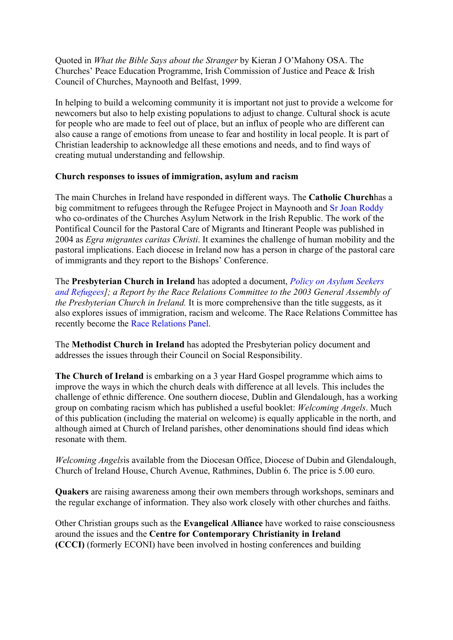Quoted in *What the Bible Says about the Stranger* by Kieran J O'Mahony OSA. The Churches' Peace Education Programme, Irish Commission of Justice and Peace & Irish Council of Churches, Maynooth and Belfast, 1999.

In helping to build a welcoming community it is important not just to provide a welcome for newcomers but also to help existing populations to adjust to change. Cultural shock is acute for people who are made to feel out of place, but an influx of people who are different can also cause a range of emotions from unease to fear and hostility in local people. It is part of Christian leadership to acknowledge all these emotions and needs, and to find ways of creating mutual understanding and fellowship.

## **Church responses to issues of immigration, asylum and racism**

The main Churches in Ireland have responded in different ways. The **Catholic Church**has a big commitment to refugees through the Refugee Project in Maynooth and Sr Joan Roddy who co-ordinates of the Churches Asylum Network in the Irish Republic. The work of the Pontifical Council for the Pastoral Care of Migrants and Itinerant People was published in 2004 as *Egra migrantes caritas Christi*. It examines the challenge of human mobility and the pastoral implications. Each diocese in Ireland now has a person in charge of the pastoral care of immigrants and they report to the Bishops' Conference.

The **Presbyterian Church in Ireland** has adopted a document, *Policy on Asylum Seekers and Refugees]; a Report by the Race Relations Committee to the 2003 General Assembly of the Presbyterian Church in Ireland.* It is more comprehensive than the title suggests, as it also explores issues of immigration, racism and welcome. The Race Relations Committee has recently become the Race Relations Panel.

The **Methodist Church in Ireland** has adopted the Presbyterian policy document and addresses the issues through their Council on Social Responsibility.

**The Church of Ireland** is embarking on a 3 year Hard Gospel programme which aims to improve the ways in which the church deals with difference at all levels. This includes the challenge of ethnic difference. One southern diocese, Dublin and Glendalough, has a working group on combating racism which has published a useful booklet: *Welcoming Angels*. Much of this publication (including the material on welcome) is equally applicable in the north, and although aimed at Church of Ireland parishes, other denominations should find ideas which resonate with them.

*Welcoming Angels*is available from the Diocesan Office, Diocese of Dubin and Glendalough, Church of Ireland House, Church Avenue, Rathmines, Dublin 6. The price is 5.00 euro.

**Quakers** are raising awareness among their own members through workshops, seminars and the regular exchange of information. They also work closely with other churches and faiths.

Other Christian groups such as the **Evangelical Alliance** have worked to raise consciousness around the issues and the **Centre for Contemporary Christianity in Ireland (CCCI)** (formerly ECONI) have been involved in hosting conferences and building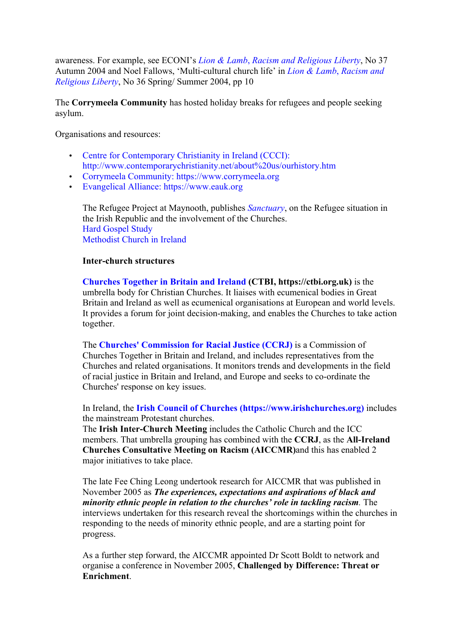awareness. For example, see ECONI's *Lion & Lamb*, *Racism and Religious Liberty*, No 37 Autumn 2004 and Noel Fallows, 'Multi-cultural church life' in *Lion & Lamb*, *Racism and Religious Liberty*, No 36 Spring/ Summer 2004, pp 10

The **Corrymeela Community** has hosted holiday breaks for refugees and people seeking asylum.

Organisations and resources:

- Centre for Contemporary Christianity in Ireland (CCCI): http://www.contemporarychristianity.net/about%20us/ourhistory.htm
- Corrymeela Community: https://www.corrymeela.org
- Evangelical Alliance: https://www.eauk.org

The Refugee Project at Maynooth, publishes *Sanctuary*, on the Refugee situation in the Irish Republic and the involvement of the Churches. Hard Gospel Study Methodist Church in Ireland

### **Inter-church structures**

**Churches Together in Britain and Ireland (CTBI, https://ctbi.org.uk)** is the umbrella body for Christian Churches. It liaises with ecumenical bodies in Great Britain and Ireland as well as ecumenical organisations at European and world levels. It provides a forum for joint decision-making, and enables the Churches to take action together.

The **Churches' Commission for Racial Justice (CCRJ)** is a Commission of Churches Together in Britain and Ireland, and includes representatives from the Churches and related organisations. It monitors trends and developments in the field of racial justice in Britain and Ireland, and Europe and seeks to co-ordinate the Churches' response on key issues.

In Ireland, the **Irish Council of Churches (https://www.irishchurches.org)** includes the mainstream Protestant churches.

The **Irish Inter-Church Meeting** includes the Catholic Church and the ICC members. That umbrella grouping has combined with the **CCRJ**, as the **All-Ireland Churches Consultative Meeting on Racism (AICCMR)**and this has enabled 2 major initiatives to take place.

The late Fee Ching Leong undertook research for AICCMR that was published in November 2005 as *The experiences, expectations and aspirations of black and minority ethnic people in relation to the churches' role in tackling racism.* The interviews undertaken for this research reveal the shortcomings within the churches in responding to the needs of minority ethnic people, and are a starting point for progress.

As a further step forward, the AICCMR appointed Dr Scott Boldt to network and organise a conference in November 2005, **Challenged by Difference: Threat or Enrichment**.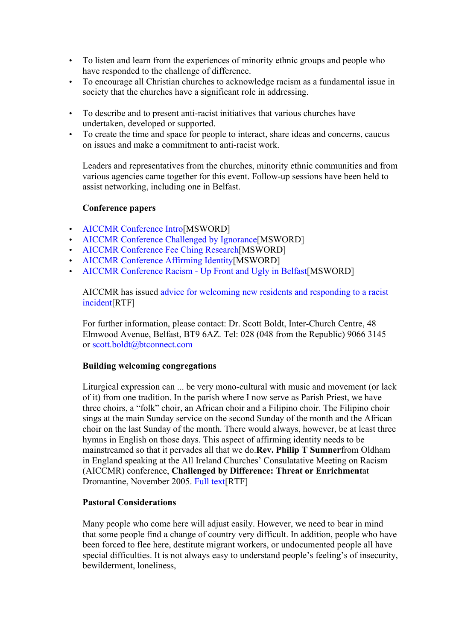- To listen and learn from the experiences of minority ethnic groups and people who have responded to the challenge of difference.
- To encourage all Christian churches to acknowledge racism as a fundamental issue in society that the churches have a significant role in addressing.
- To describe and to present anti-racist initiatives that various churches have undertaken, developed or supported.
- To create the time and space for people to interact, share ideas and concerns, caucus on issues and make a commitment to anti-racist work.

Leaders and representatives from the churches, minority ethnic communities and from various agencies came together for this event. Follow-up sessions have been held to assist networking, including one in Belfast.

# **Conference papers**

- AICCMR Conference Intro[MSWORD]
- AICCMR Conference Challenged by Ignorance[MSWORD]
- AICCMR Conference Fee Ching Research[MSWORD]
- AICCMR Conference Affirming Identity[MSWORD]
- AICCMR Conference Racism Up Front and Ugly in Belfast[MSWORD]

AICCMR has issued advice for welcoming new residents and responding to a racist incident[RTF]

For further information, please contact: Dr. Scott Boldt, Inter-Church Centre, 48 Elmwood Avenue, Belfast, BT9 6AZ. Tel: 028 (048 from the Republic) 9066 3145 or scott.boldt@btconnect.com

## **Building welcoming congregations**

Liturgical expression can ... be very mono-cultural with music and movement (or lack of it) from one tradition. In the parish where I now serve as Parish Priest, we have three choirs, a "folk" choir, an African choir and a Filipino choir. The Filipino choir sings at the main Sunday service on the second Sunday of the month and the African choir on the last Sunday of the month. There would always, however, be at least three hymns in English on those days. This aspect of affirming identity needs to be mainstreamed so that it pervades all that we do.**Rev. Philip T Sumner**from Oldham in England speaking at the All Ireland Churches' Consulatative Meeting on Racism (AICCMR) conference, **Challenged by Difference: Threat or Enrichment**at Dromantine, November 2005. Full text[RTF]

## **Pastoral Considerations**

Many people who come here will adjust easily. However, we need to bear in mind that some people find a change of country very difficult. In addition, people who have been forced to flee here, destitute migrant workers, or undocumented people all have special difficulties. It is not always easy to understand people's feeling's of insecurity, bewilderment, loneliness,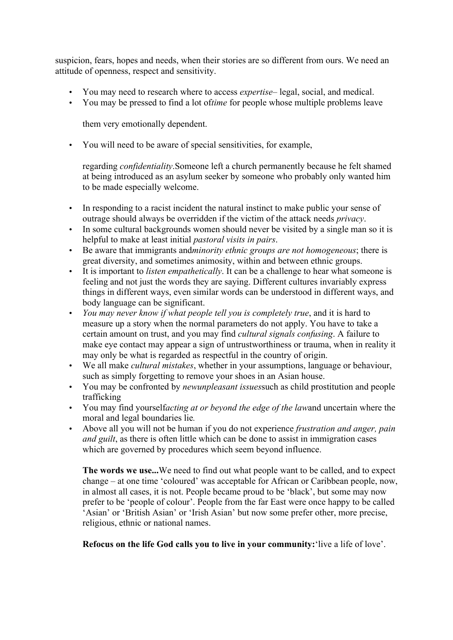suspicion, fears, hopes and needs, when their stories are so different from ours. We need an attitude of openness, respect and sensitivity.

- You may need to research where to access *expertise* legal, social, and medical.
- You may be pressed to find a lot of*time* for people whose multiple problems leave

them very emotionally dependent.

• You will need to be aware of special sensitivities, for example,

regarding *confidentiality*.Someone left a church permanently because he felt shamed at being introduced as an asylum seeker by someone who probably only wanted him to be made especially welcome.

- In responding to a racist incident the natural instinct to make public your sense of outrage should always be overridden if the victim of the attack needs *privacy*.
- In some cultural backgrounds women should never be visited by a single man so it is helpful to make at least initial *pastoral visits in pairs*.
- Be aware that immigrants and*minority ethnic groups are not homogeneous*; there is great diversity, and sometimes animosity, within and between ethnic groups.
- It is important to *listen empathetically*. It can be a challenge to hear what someone is feeling and not just the words they are saying. Different cultures invariably express things in different ways, even similar words can be understood in different ways, and body language can be significant.
- *You may never know if what people tell you is completely true*, and it is hard to measure up a story when the normal parameters do not apply. You have to take a certain amount on trust, and you may find *cultural signals confusing*. A failure to make eye contact may appear a sign of untrustworthiness or trauma, when in reality it may only be what is regarded as respectful in the country of origin.
- We all make *cultural mistakes*, whether in your assumptions, language or behaviour, such as simply forgetting to remove your shoes in an Asian house.
- You may be confronted by *newunpleasant issues*such as child prostitution and people trafficking
- You may find yourself*acting at or beyond the edge of the law*and uncertain where the moral and legal boundaries lie*.*
- Above all you will not be human if you do not experience *frustration and anger, pain and guilt*, as there is often little which can be done to assist in immigration cases which are governed by procedures which seem beyond influence.

**The words we use...**We need to find out what people want to be called, and to expect change – at one time 'coloured' was acceptable for African or Caribbean people, now, in almost all cases, it is not. People became proud to be 'black', but some may now prefer to be 'people of colour'. People from the far East were once happy to be called 'Asian' or 'British Asian' or 'Irish Asian' but now some prefer other, more precise, religious, ethnic or national names.

**Refocus on the life God calls you to live in your community:**'live a life of love'.